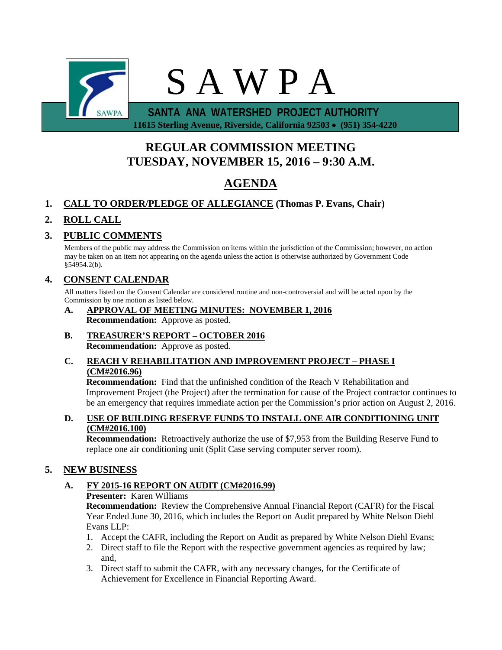

 **11615 Sterling Avenue, Riverside, California 92503** • **(951) 354-4220**

# **REGULAR COMMISSION MEETING TUESDAY, NOVEMBER 15, 2016 – 9:30 A.M.**

# **AGENDA**

## **1. CALL TO ORDER/PLEDGE OF ALLEGIANCE (Thomas P. Evans, Chair)**

# **2. ROLL CALL**

## **3. PUBLIC COMMENTS**

Members of the public may address the Commission on items within the jurisdiction of the Commission; however, no action may be taken on an item not appearing on the agenda unless the action is otherwise authorized by Government Code §54954.2(b).

### **4. CONSENT CALENDAR**

All matters listed on the Consent Calendar are considered routine and non-controversial and will be acted upon by the Commission by one motion as listed below.

- **A. APPROVAL OF MEETING MINUTES: NOVEMBER 1, 2016 Recommendation:** Approve as posted.
- **B. TREASURER'S REPORT – OCTOBER 2016 Recommendation:** Approve as posted.

#### **C. REACH V REHABILITATION AND IMPROVEMENT PROJECT – PHASE I (CM#2016.96)**

**Recommendation:** Find that the unfinished condition of the Reach V Rehabilitation and Improvement Project (the Project) after the termination for cause of the Project contractor continues to be an emergency that requires immediate action per the Commission's prior action on August 2, 2016.

#### **D. USE OF BUILDING RESERVE FUNDS TO INSTALL ONE AIR CONDITIONING UNIT (CM#2016.100)**

**Recommendation:** Retroactively authorize the use of \$7,953 from the Building Reserve Fund to replace one air conditioning unit (Split Case serving computer server room).

## **5. NEW BUSINESS**

### **A. FY 2015-16 REPORT ON AUDIT (CM#2016.99)**

#### **Presenter:** Karen Williams

**Recommendation:** Review the Comprehensive Annual Financial Report (CAFR) for the Fiscal Year Ended June 30, 2016, which includes the Report on Audit prepared by White Nelson Diehl Evans LLP:

- 1. Accept the CAFR, including the Report on Audit as prepared by White Nelson Diehl Evans;
- 2. Direct staff to file the Report with the respective government agencies as required by law; and,
- 3. Direct staff to submit the CAFR, with any necessary changes, for the Certificate of Achievement for Excellence in Financial Reporting Award.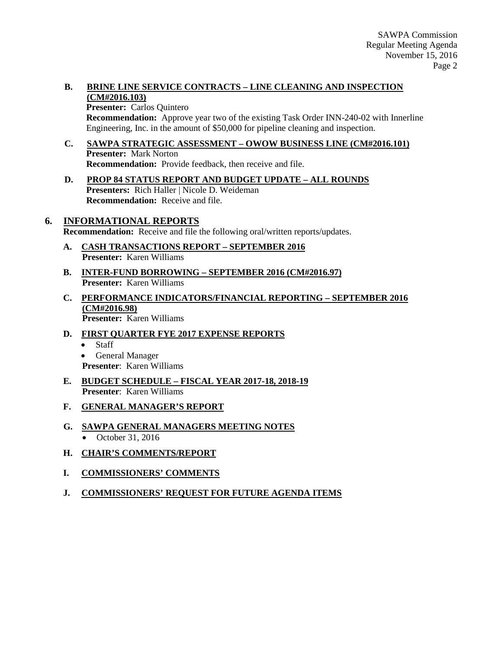#### **B. BRINE LINE SERVICE CONTRACTS – LINE CLEANING AND INSPECTION (CM#2016.103)**

**Presenter:** Carlos Quintero

**Recommendation:** Approve year two of the existing Task Order INN-240-02 with Innerline Engineering, Inc. in the amount of \$50,000 for pipeline cleaning and inspection.

- **C. SAWPA STRATEGIC ASSESSMENT – OWOW BUSINESS LINE (CM#2016.101) Presenter:** Mark Norton **Recommendation:** Provide feedback, then receive and file.
- **D. PROP 84 STATUS REPORT AND BUDGET UPDATE – ALL ROUNDS Presenters:** Rich Haller | Nicole D. Weideman **Recommendation:** Receive and file.

### **6. INFORMATIONAL REPORTS**

**Recommendation:** Receive and file the following oral/written reports/updates.

- **A. CASH TRANSACTIONS REPORT – SEPTEMBER 2016 Presenter:** Karen Williams
- **B. INTER-FUND BORROWING – SEPTEMBER 2016 (CM#2016.97) Presenter:** Karen Williams
- **C. PERFORMANCE INDICATORS/FINANCIAL REPORTING – SEPTEMBER 2016 (CM#2016.98) Presenter:** Karen Williams
- **D. FIRST QUARTER FYE 2017 EXPENSE REPORTS**
	- Staff
	- General Manager
	- **Presenter**: Karen Williams
- **E. BUDGET SCHEDULE – FISCAL YEAR 2017-18, 2018-19 Presenter**: Karen Williams
- **F. GENERAL MANAGER'S REPORT**
- **G. SAWPA GENERAL MANAGERS MEETING NOTES** • October 31, 2016
- **H. CHAIR'S COMMENTS/REPORT**
- **I. COMMISSIONERS' COMMENTS**
- **J. COMMISSIONERS' REQUEST FOR FUTURE AGENDA ITEMS**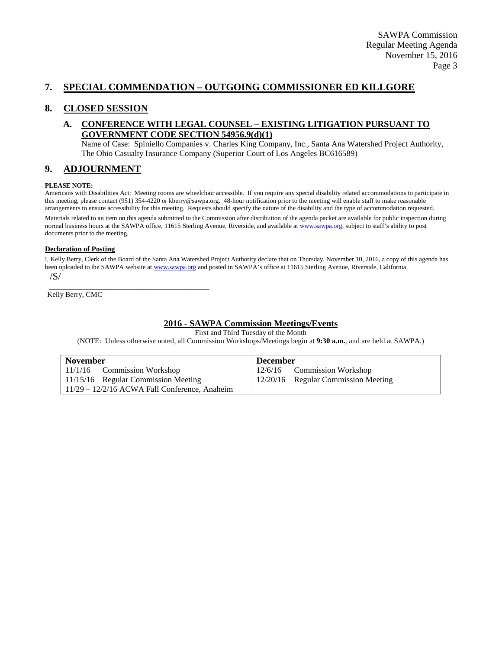### **7. SPECIAL COMMENDATION – OUTGOING COMMISSIONER ED KILLGORE**

#### **8. CLOSED SESSION**

#### **A. CONFERENCE WITH LEGAL COUNSEL – EXISTING LITIGATION PURSUANT TO GOVERNMENT CODE SECTION 54956.9(d)(1)**

Name of Case: Spiniello Companies v. Charles King Company, Inc., Santa Ana Watershed Project Authority, The Ohio Casualty Insurance Company (Superior Court of Los Angeles BC616589)

#### **9. ADJOURNMENT**

#### **PLEASE NOTE:**

Americans with Disabilities Act: Meeting rooms are wheelchair accessible. If you require any special disability related accommodations to participate in this meeting, please contact (951) 354-4220 or kberry@sawpa.org. 48-hour notification prior to the meeting will enable staff to make reasonable arrangements to ensure accessibility for this meeting. Requests should specify the nature of the disability and the type of accommodation requested. Materials related to an item on this agenda submitted to the Commission after distribution of the agenda packet are available for public inspection during normal business hours at the SAWPA office, 11615 Sterling Avenue, Riverside, and available a[t www.sawpa.org,](http://www.sawpa.org/) subject to staff's ability to post documents prior to the meeting.

#### **Declaration of Posting**

I, Kelly Berry, Clerk of the Board of the Santa Ana Watershed Project Authority declare that on Thursday, November 10, 2016, a copy of this agenda has been uploaded to the SAWPA website a[t www.sawpa.org](http://www.sawpa.org/) and posted in SAWPA's office at 11615 Sterling Avenue, Riverside, California. /S/

Kelly Berry, CMC

\_\_\_\_\_\_\_\_\_\_\_\_\_\_\_\_\_\_\_\_\_\_\_\_\_\_\_\_\_\_\_\_\_\_\_\_\_\_\_

#### **2016 - SAWPA Commission Meetings/Events**

First and Third Tuesday of the Month

(NOTE: Unless otherwise noted, all Commission Workshops/Meetings begin at **9:30 a.m.**, and are held at SAWPA.)

| November                                        | <b>December</b>                     |  |
|-------------------------------------------------|-------------------------------------|--|
| $11/1/16$ Commission Workshop                   | 12/6/16 Commission Workshop         |  |
| $\mid$ 11/15/16 Regular Commission Meeting      | 12/20/16 Regular Commission Meeting |  |
| $11/29 - 12/2/16$ ACWA Fall Conference, Anaheim |                                     |  |